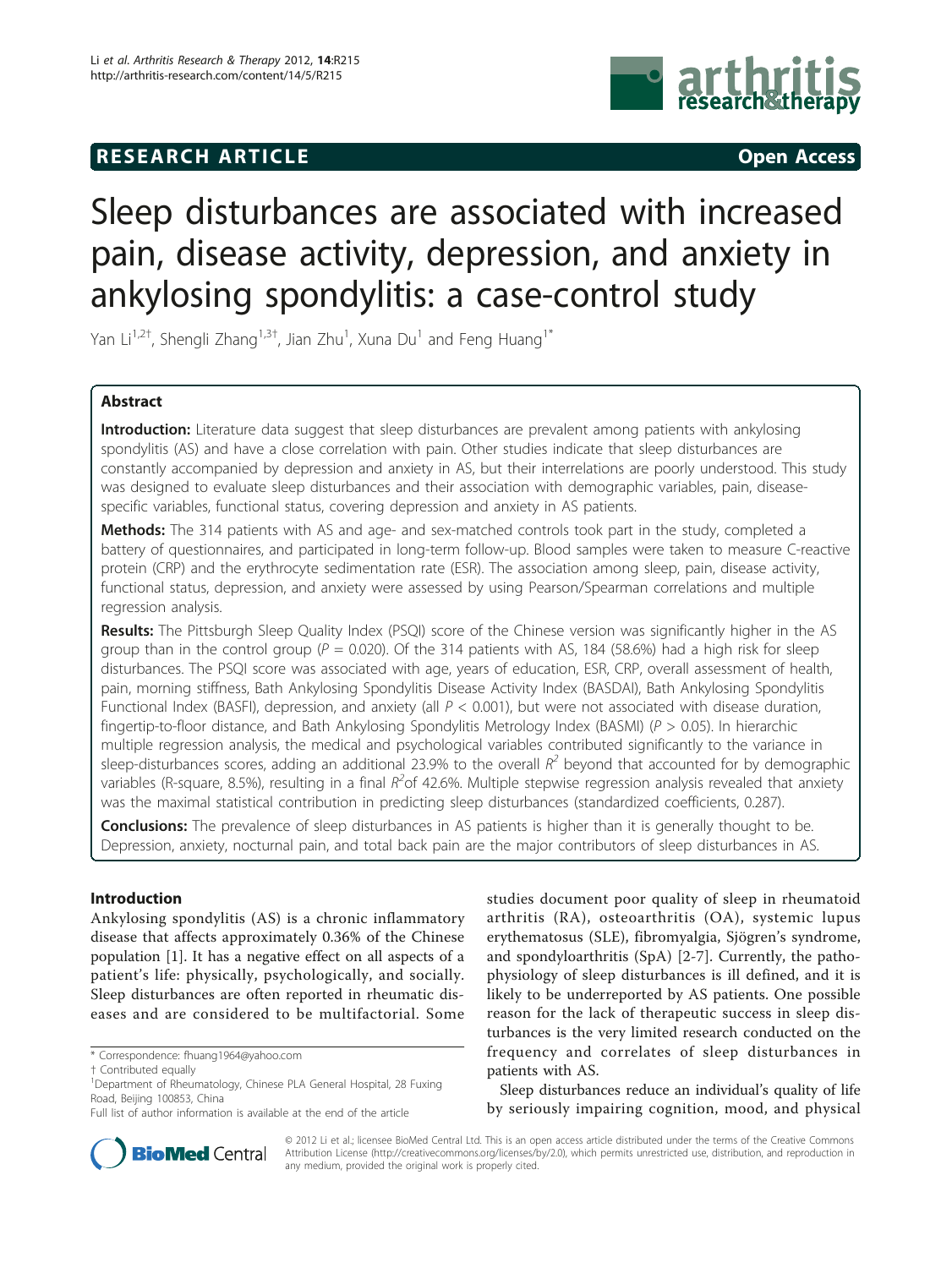## **RESEARCH ARTICLE Example 2014 CONSUMING ACCESS**



# Sleep disturbances are associated with increased pain, disease activity, depression, and anxiety in ankylosing spondylitis: a case-control study

Yan Li<sup>1,2†</sup>, Shengli Zhang<sup>1,3†</sup>, Jian Zhu<sup>1</sup>, Xuna Du<sup>1</sup> and Feng Huang<sup>1\*</sup>

### Abstract

Introduction: Literature data suggest that sleep disturbances are prevalent among patients with ankylosing spondylitis (AS) and have a close correlation with pain. Other studies indicate that sleep disturbances are constantly accompanied by depression and anxiety in AS, but their interrelations are poorly understood. This study was designed to evaluate sleep disturbances and their association with demographic variables, pain, diseasespecific variables, functional status, covering depression and anxiety in AS patients.

Methods: The 314 patients with AS and age- and sex-matched controls took part in the study, completed a battery of questionnaires, and participated in long-term follow-up. Blood samples were taken to measure C-reactive protein (CRP) and the erythrocyte sedimentation rate (ESR). The association among sleep, pain, disease activity, functional status, depression, and anxiety were assessed by using Pearson/Spearman correlations and multiple regression analysis.

Results: The Pittsburgh Sleep Quality Index (PSQI) score of the Chinese version was significantly higher in the AS group than in the control group ( $P = 0.020$ ). Of the 314 patients with AS, 184 (58.6%) had a high risk for sleep disturbances. The PSQI score was associated with age, years of education, ESR, CRP, overall assessment of health, pain, morning stiffness, Bath Ankylosing Spondylitis Disease Activity Index (BASDAI), Bath Ankylosing Spondylitis Functional Index (BASFI), depression, and anxiety (all  $P < 0.001$ ), but were not associated with disease duration, fingertip-to-floor distance, and Bath Ankylosing Spondylitis Metrology Index (BASMI) ( $P > 0.05$ ). In hierarchic multiple regression analysis, the medical and psychological variables contributed significantly to the variance in sleep-disturbances scores, adding an additional 23.9% to the overall  $R^2$  beyond that accounted for by demographic variables (R-square, 8.5%), resulting in a final  $R^2$ of 42.6%. Multiple stepwise regression analysis revealed that anxiety was the maximal statistical contribution in predicting sleep disturbances (standardized coefficients, 0.287).

Conclusions: The prevalence of sleep disturbances in AS patients is higher than it is generally thought to be. Depression, anxiety, nocturnal pain, and total back pain are the major contributors of sleep disturbances in AS.

### Introduction

Ankylosing spondylitis (AS) is a chronic inflammatory disease that affects approximately 0.36% of the Chinese population [[1\]](#page-8-0). It has a negative effect on all aspects of a patient's life: physically, psychologically, and socially. Sleep disturbances are often reported in rheumatic diseases and are considered to be multifactorial. Some

\* Correspondence: [fhuang1964@yahoo.com](mailto:fhuang1964@yahoo.com)

studies document poor quality of sleep in rheumatoid arthritis (RA), osteoarthritis (OA), systemic lupus erythematosus (SLE), fibromyalgia, Sjögren's syndrome, and spondyloarthritis (SpA) [\[2](#page-8-0)-[7\]](#page-8-0). Currently, the pathophysiology of sleep disturbances is ill defined, and it is likely to be underreported by AS patients. One possible reason for the lack of therapeutic success in sleep disturbances is the very limited research conducted on the frequency and correlates of sleep disturbances in patients with AS.

Sleep disturbances reduce an individual's quality of life by seriously impairing cognition, mood, and physical



© 2012 Li et al.; licensee BioMed Central Ltd. This is an open access article distributed under the terms of the Creative Commons Attribution License [\(http://creativecommons.org/licenses/by/2.0](http://creativecommons.org/licenses/by/2.0)), which permits unrestricted use, distribution, and reproduction in any medium, provided the original work is properly cited.

<sup>†</sup> Contributed equally <sup>1</sup>

<sup>&</sup>lt;sup>1</sup>Department of Rheumatology, Chinese PLA General Hospital, 28 Fuxing Road, Beijing 100853, China

Full list of author information is available at the end of the article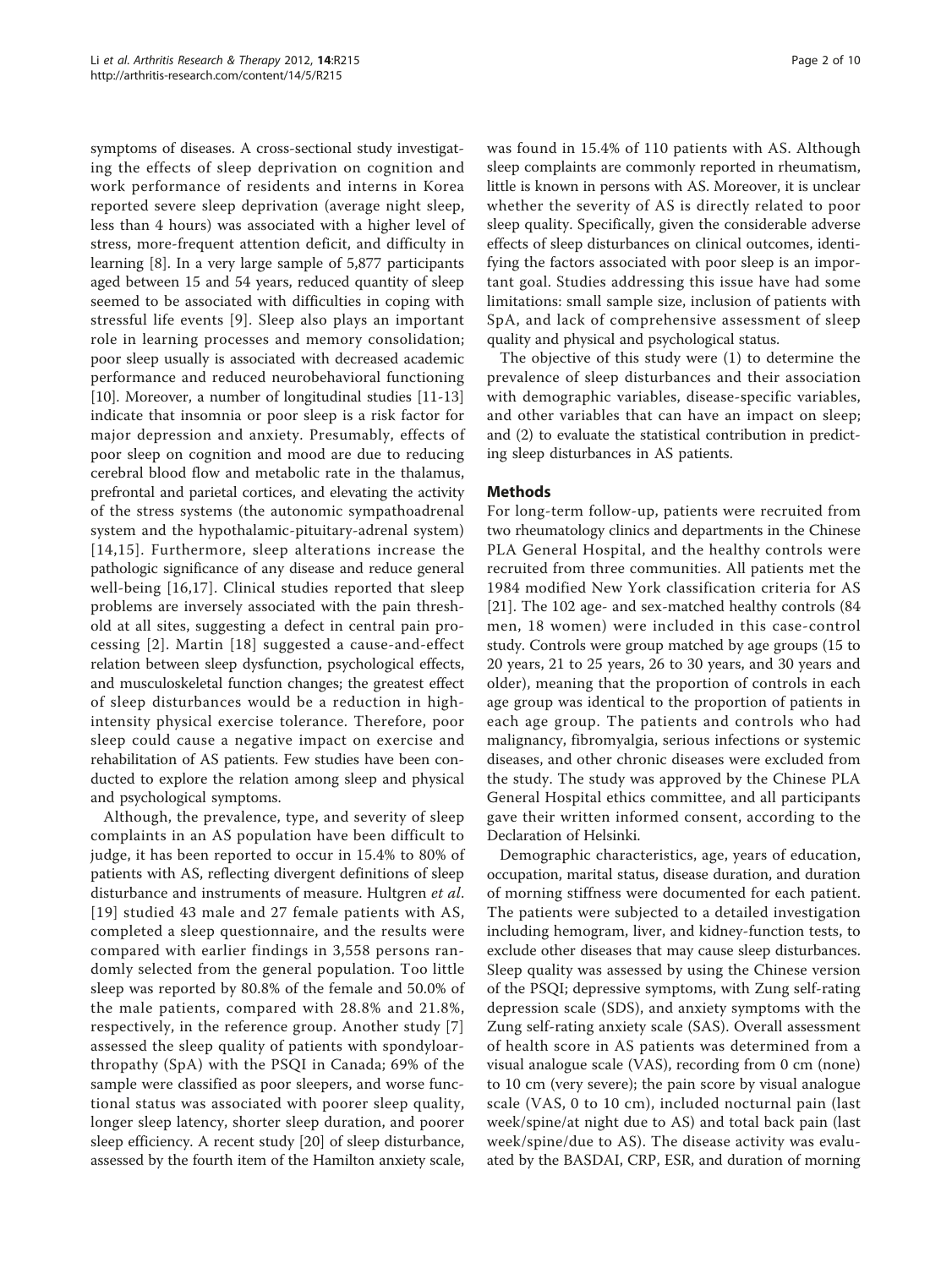symptoms of diseases. A cross-sectional study investigating the effects of sleep deprivation on cognition and work performance of residents and interns in Korea reported severe sleep deprivation (average night sleep, less than 4 hours) was associated with a higher level of stress, more-frequent attention deficit, and difficulty in learning [[8](#page-8-0)]. In a very large sample of 5,877 participants aged between 15 and 54 years, reduced quantity of sleep seemed to be associated with difficulties in coping with stressful life events [[9](#page-8-0)]. Sleep also plays an important role in learning processes and memory consolidation; poor sleep usually is associated with decreased academic performance and reduced neurobehavioral functioning [[10\]](#page-8-0). Moreover, a number of longitudinal studies [\[11](#page-8-0)-[13](#page-8-0)] indicate that insomnia or poor sleep is a risk factor for major depression and anxiety. Presumably, effects of poor sleep on cognition and mood are due to reducing cerebral blood flow and metabolic rate in the thalamus, prefrontal and parietal cortices, and elevating the activity of the stress systems (the autonomic sympathoadrenal system and the hypothalamic-pituitary-adrenal system) [[14](#page-8-0),[15](#page-8-0)]. Furthermore, sleep alterations increase the pathologic significance of any disease and reduce general well-being [[16,17\]](#page-8-0). Clinical studies reported that sleep problems are inversely associated with the pain threshold at all sites, suggesting a defect in central pain processing [[2](#page-8-0)]. Martin [[18\]](#page-8-0) suggested a cause-and-effect relation between sleep dysfunction, psychological effects, and musculoskeletal function changes; the greatest effect of sleep disturbances would be a reduction in highintensity physical exercise tolerance. Therefore, poor sleep could cause a negative impact on exercise and rehabilitation of AS patients. Few studies have been conducted to explore the relation among sleep and physical and psychological symptoms.

Although, the prevalence, type, and severity of sleep complaints in an AS population have been difficult to judge, it has been reported to occur in 15.4% to 80% of patients with AS, reflecting divergent definitions of sleep disturbance and instruments of measure. Hultgren *et al.* [[19\]](#page-8-0) studied 43 male and 27 female patients with AS, completed a sleep questionnaire, and the results were compared with earlier findings in 3,558 persons randomly selected from the general population. Too little sleep was reported by 80.8% of the female and 50.0% of the male patients, compared with 28.8% and 21.8%, respectively, in the reference group. Another study [[7](#page-8-0)] assessed the sleep quality of patients with spondyloarthropathy (SpA) with the PSQI in Canada; 69% of the sample were classified as poor sleepers, and worse functional status was associated with poorer sleep quality, longer sleep latency, shorter sleep duration, and poorer sleep efficiency. A recent study [\[20](#page-8-0)] of sleep disturbance, assessed by the fourth item of the Hamilton anxiety scale,

was found in 15.4% of 110 patients with AS. Although sleep complaints are commonly reported in rheumatism, little is known in persons with AS. Moreover, it is unclear whether the severity of AS is directly related to poor sleep quality. Specifically, given the considerable adverse effects of sleep disturbances on clinical outcomes, identifying the factors associated with poor sleep is an important goal. Studies addressing this issue have had some limitations: small sample size, inclusion of patients with SpA, and lack of comprehensive assessment of sleep quality and physical and psychological status.

The objective of this study were (1) to determine the prevalence of sleep disturbances and their association with demographic variables, disease-specific variables, and other variables that can have an impact on sleep; and (2) to evaluate the statistical contribution in predicting sleep disturbances in AS patients.

#### Methods

For long-term follow-up, patients were recruited from two rheumatology clinics and departments in the Chinese PLA General Hospital, and the healthy controls were recruited from three communities. All patients met the 1984 modified New York classification criteria for AS [[21\]](#page-8-0). The 102 age- and sex-matched healthy controls (84 men, 18 women) were included in this case-control study. Controls were group matched by age groups (15 to 20 years, 21 to 25 years, 26 to 30 years, and 30 years and older), meaning that the proportion of controls in each age group was identical to the proportion of patients in each age group. The patients and controls who had malignancy, fibromyalgia, serious infections or systemic diseases, and other chronic diseases were excluded from the study. The study was approved by the Chinese PLA General Hospital ethics committee, and all participants gave their written informed consent, according to the Declaration of Helsinki.

Demographic characteristics, age, years of education, occupation, marital status, disease duration, and duration of morning stiffness were documented for each patient. The patients were subjected to a detailed investigation including hemogram, liver, and kidney-function tests, to exclude other diseases that may cause sleep disturbances. Sleep quality was assessed by using the Chinese version of the PSQI; depressive symptoms, with Zung self-rating depression scale (SDS), and anxiety symptoms with the Zung self-rating anxiety scale (SAS). Overall assessment of health score in AS patients was determined from a visual analogue scale (VAS), recording from 0 cm (none) to 10 cm (very severe); the pain score by visual analogue scale (VAS, 0 to 10 cm), included nocturnal pain (last week/spine/at night due to AS) and total back pain (last week/spine/due to AS). The disease activity was evaluated by the BASDAI, CRP, ESR, and duration of morning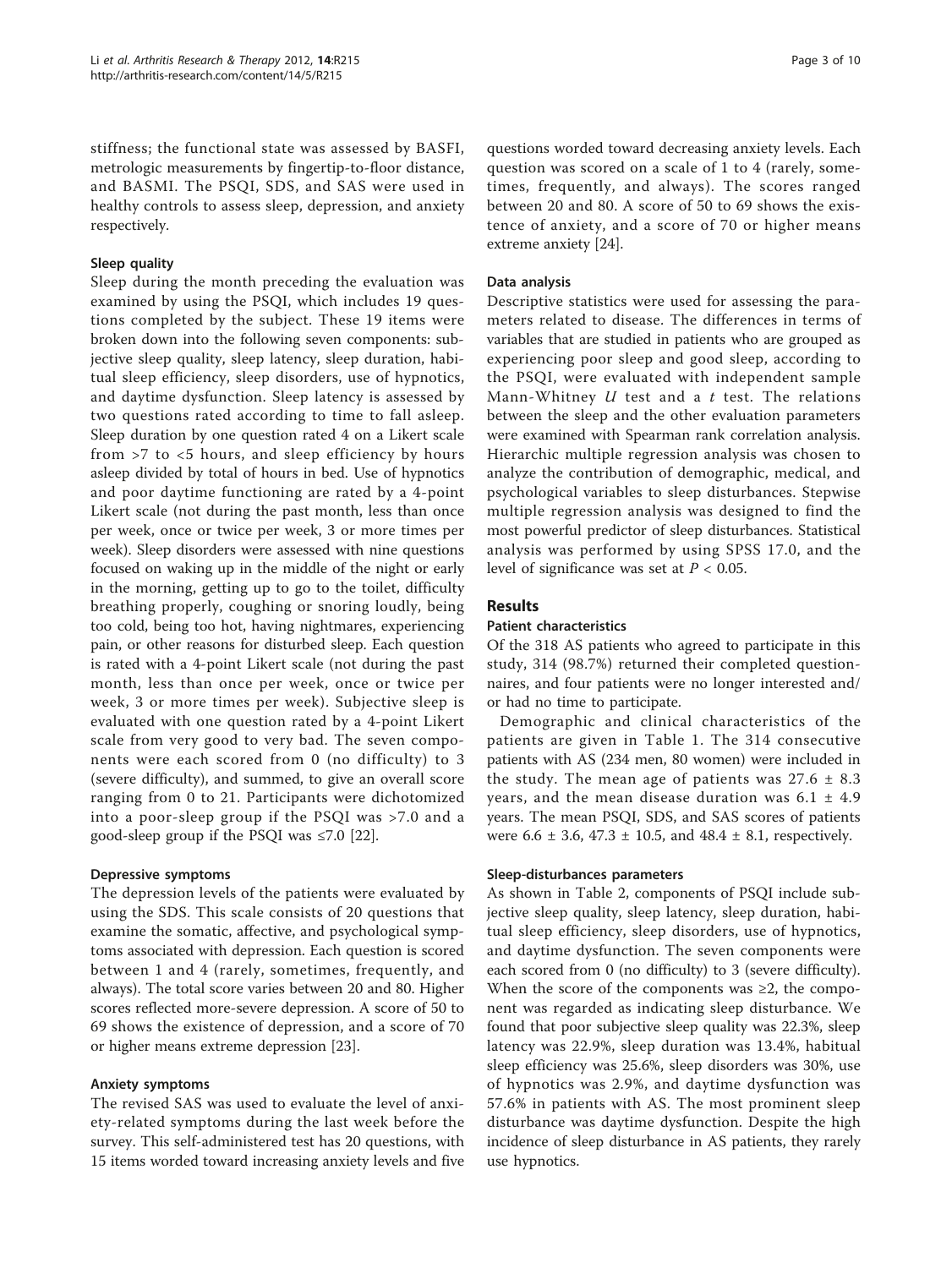stiffness; the functional state was assessed by BASFI, metrologic measurements by fingertip-to-floor distance, and BASMI. The PSQI, SDS, and SAS were used in healthy controls to assess sleep, depression, and anxiety respectively.

#### Sleep quality

Sleep during the month preceding the evaluation was examined by using the PSQI, which includes 19 questions completed by the subject. These 19 items were broken down into the following seven components: subjective sleep quality, sleep latency, sleep duration, habitual sleep efficiency, sleep disorders, use of hypnotics, and daytime dysfunction. Sleep latency is assessed by two questions rated according to time to fall asleep. Sleep duration by one question rated 4 on a Likert scale from >7 to <5 hours, and sleep efficiency by hours asleep divided by total of hours in bed. Use of hypnotics and poor daytime functioning are rated by a 4-point Likert scale (not during the past month, less than once per week, once or twice per week, 3 or more times per week). Sleep disorders were assessed with nine questions focused on waking up in the middle of the night or early in the morning, getting up to go to the toilet, difficulty breathing properly, coughing or snoring loudly, being too cold, being too hot, having nightmares, experiencing pain, or other reasons for disturbed sleep. Each question is rated with a 4-point Likert scale (not during the past month, less than once per week, once or twice per week, 3 or more times per week). Subjective sleep is evaluated with one question rated by a 4-point Likert scale from very good to very bad. The seven components were each scored from 0 (no difficulty) to 3 (severe difficulty), and summed, to give an overall score ranging from 0 to 21. Participants were dichotomized into a poor-sleep group if the PSQI was >7.0 and a good-sleep group if the PSQI was ≤7.0 [\[22\]](#page-8-0).

#### Depressive symptoms

The depression levels of the patients were evaluated by using the SDS. This scale consists of 20 questions that examine the somatic, affective, and psychological symptoms associated with depression. Each question is scored between 1 and 4 (rarely, sometimes, frequently, and always). The total score varies between 20 and 80. Higher scores reflected more-severe depression. A score of 50 to 69 shows the existence of depression, and a score of 70 or higher means extreme depression [\[23](#page-8-0)].

#### Anxiety symptoms

The revised SAS was used to evaluate the level of anxiety-related symptoms during the last week before the survey. This self-administered test has 20 questions, with 15 items worded toward increasing anxiety levels and five

questions worded toward decreasing anxiety levels. Each question was scored on a scale of 1 to 4 (rarely, sometimes, frequently, and always). The scores ranged between 20 and 80. A score of 50 to 69 shows the existence of anxiety, and a score of 70 or higher means extreme anxiety [\[24\]](#page-8-0).

#### Data analysis

Descriptive statistics were used for assessing the parameters related to disease. The differences in terms of variables that are studied in patients who are grouped as experiencing poor sleep and good sleep, according to the PSQI, were evaluated with independent sample Mann-Whitney  $U$  test and a  $t$  test. The relations between the sleep and the other evaluation parameters were examined with Spearman rank correlation analysis. Hierarchic multiple regression analysis was chosen to analyze the contribution of demographic, medical, and psychological variables to sleep disturbances. Stepwise multiple regression analysis was designed to find the most powerful predictor of sleep disturbances. Statistical analysis was performed by using SPSS 17.0, and the level of significance was set at  $P < 0.05$ .

#### Results

#### Patient characteristics

Of the 318 AS patients who agreed to participate in this study, 314 (98.7%) returned their completed questionnaires, and four patients were no longer interested and/ or had no time to participate.

Demographic and clinical characteristics of the patients are given in Table [1](#page-3-0). The 314 consecutive patients with AS (234 men, 80 women) were included in the study. The mean age of patients was  $27.6 \pm 8.3$ years, and the mean disease duration was  $6.1 \pm 4.9$ years. The mean PSQI, SDS, and SAS scores of patients were 6.6 ± 3.6, 47.3 ± 10.5, and 48.4 ± 8.1, respectively.

#### Sleep-disturbances parameters

As shown in Table [2,](#page-3-0) components of PSQI include subjective sleep quality, sleep latency, sleep duration, habitual sleep efficiency, sleep disorders, use of hypnotics, and daytime dysfunction. The seven components were each scored from 0 (no difficulty) to 3 (severe difficulty). When the score of the components was  $\geq 2$ , the component was regarded as indicating sleep disturbance. We found that poor subjective sleep quality was 22.3%, sleep latency was 22.9%, sleep duration was 13.4%, habitual sleep efficiency was 25.6%, sleep disorders was 30%, use of hypnotics was 2.9%, and daytime dysfunction was 57.6% in patients with AS. The most prominent sleep disturbance was daytime dysfunction. Despite the high incidence of sleep disturbance in AS patients, they rarely use hypnotics.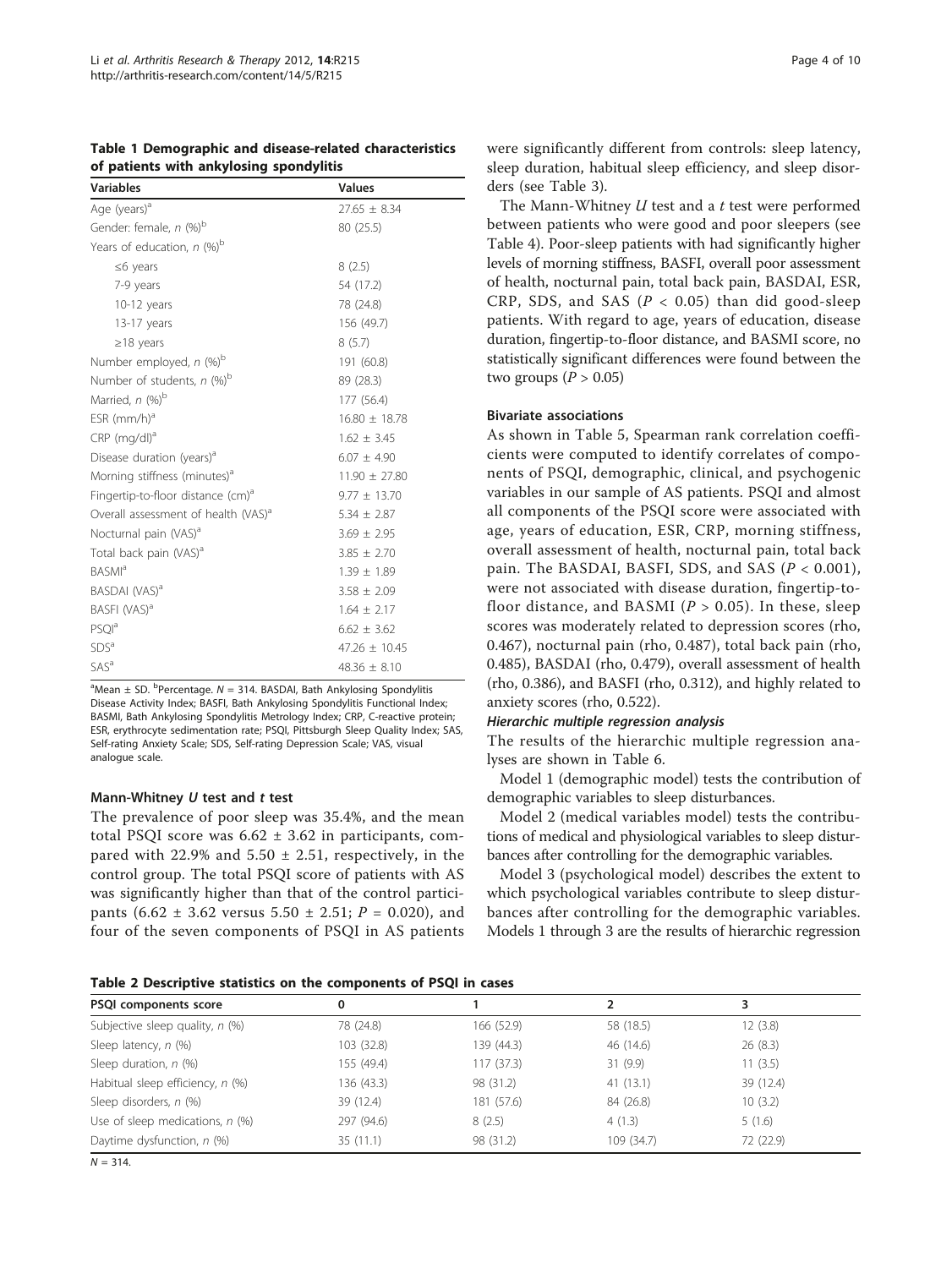<span id="page-3-0"></span>

| Table 1 Demographic and disease-related characteristics |  |
|---------------------------------------------------------|--|
| of patients with ankylosing spondylitis                 |  |

| <b>Variables</b>                                | <b>Values</b>     |
|-------------------------------------------------|-------------------|
| Age (years) <sup>a</sup>                        | $27.65 \pm 8.34$  |
| Gender: female, n (%) <sup>b</sup>              | 80 (25.5)         |
| Years of education, $n$ (%) <sup>b</sup>        |                   |
| $\leq$ 6 years                                  | 8(2.5)            |
| 7-9 years                                       | 54 (17.2)         |
| $10-12$ years                                   | 78 (24.8)         |
| 13-17 years                                     | 156 (49.7)        |
| $\geq$ 18 years                                 | 8(5.7)            |
| Number employed, n (%) <sup>b</sup>             | 191 (60.8)        |
| Number of students, n (%) <sup>b</sup>          | 89 (28.3)         |
| Married, $n$ (%) <sup>b</sup>                   | 177 (56.4)        |
| $ESR$ (mm/h) <sup>a</sup>                       | $16.80 \pm 18.78$ |
| $CRP$ (mg/dl) <sup>a</sup>                      | $1.62 \pm 3.45$   |
| Disease duration (years) <sup>a</sup>           | $6.07 \pm 4.90$   |
| Morning stiffness (minutes) <sup>a</sup>        | $11.90 \pm 27.80$ |
| Fingertip-to-floor distance (cm) <sup>a</sup>   | $9.77 \pm 13.70$  |
| Overall assessment of health (VAS) <sup>a</sup> | $5.34 \pm 2.87$   |
| Nocturnal pain (VAS) <sup>a</sup>               | $3.69 \pm 2.95$   |
| Total back pain (VAS) <sup>a</sup>              | $3.85 \pm 2.70$   |
| <b>BASMI</b> <sup>a</sup>                       | $1.39 \pm 1.89$   |
| BASDAI (VAS) <sup>a</sup>                       | $3.58 \pm 2.09$   |
| BASFI (VAS) <sup>a</sup>                        | $1.64 \pm 2.17$   |
| <b>PSOI</b> <sup>a</sup>                        | $6.62 \pm 3.62$   |
| SDS <sup>a</sup>                                | $47.26 \pm 10.45$ |
| <b>SAS</b> <sup>a</sup>                         | $48.36 + 8.10$    |

 $^{\text{a}}$ Mean  $\pm$  SD.  $^{\text{b}}$ Percentage. N = 314. BASDAI, Bath Ankylosing Spondylitis Disease Activity Index; BASFI, Bath Ankylosing Spondylitis Functional Index; BASMI, Bath Ankylosing Spondylitis Metrology Index; CRP, C-reactive protein; ESR, erythrocyte sedimentation rate; PSQI, Pittsburgh Sleep Quality Index; SAS, Self-rating Anxiety Scale; SDS, Self-rating Depression Scale; VAS, visual analogue scale.

#### Mann-Whitney  $U$  test and  $t$  test

The prevalence of poor sleep was 35.4%, and the mean total PSQI score was  $6.62 \pm 3.62$  in participants, compared with 22.9% and  $5.50 \pm 2.51$ , respectively, in the control group. The total PSQI score of patients with AS was significantly higher than that of the control participants  $(6.62 \pm 3.62 \text{ versus } 5.50 \pm 2.51; P = 0.020)$ , and four of the seven components of PSQI in AS patients were significantly different from controls: sleep latency, sleep duration, habitual sleep efficiency, and sleep disorders (see Table [3\)](#page-4-0).

The Mann-Whitney  $U$  test and a  $t$  test were performed between patients who were good and poor sleepers (see Table [4](#page-4-0)). Poor-sleep patients with had significantly higher levels of morning stiffness, BASFI, overall poor assessment of health, nocturnal pain, total back pain, BASDAI, ESR, CRP, SDS, and SAS ( $P < 0.05$ ) than did good-sleep patients. With regard to age, years of education, disease duration, fingertip-to-floor distance, and BASMI score, no statistically significant differences were found between the two groups ( $P > 0.05$ )

#### Bivariate associations

As shown in Table [5](#page-5-0), Spearman rank correlation coefficients were computed to identify correlates of components of PSQI, demographic, clinical, and psychogenic variables in our sample of AS patients. PSQI and almost all components of the PSQI score were associated with age, years of education, ESR, CRP, morning stiffness, overall assessment of health, nocturnal pain, total back pain. The BASDAI, BASFI, SDS, and SAS  $(P < 0.001)$ , were not associated with disease duration, fingertip-tofloor distance, and BASMI ( $P > 0.05$ ). In these, sleep scores was moderately related to depression scores (rho, 0.467), nocturnal pain (rho, 0.487), total back pain (rho, 0.485), BASDAI (rho, 0.479), overall assessment of health (rho, 0.386), and BASFI (rho, 0.312), and highly related to anxiety scores (rho, 0.522).

The results of the hierarchic multiple regression analyses are shown in Table [6](#page-5-0).

Model 1 (demographic model) tests the contribution of demographic variables to sleep disturbances.

Model 2 (medical variables model) tests the contributions of medical and physiological variables to sleep disturbances after controlling for the demographic variables.

Model 3 (psychological model) describes the extent to which psychological variables contribute to sleep disturbances after controlling for the demographic variables. Models 1 through 3 are the results of hierarchic regression

Table 2 Descriptive statistics on the components of PSQI in cases

| PSQI components score             | 0          |            |            |           |
|-----------------------------------|------------|------------|------------|-----------|
| Subjective sleep quality, $n$ (%) | 78 (24.8)  | 166 (52.9) | 58 (18.5)  | 12(3.8)   |
| Sleep latency, n (%)              | 103 (32.8) | 139 (44.3) | 46 (14.6)  | 26(8.3)   |
| Sleep duration, $n$ (%)           | 155 (49.4) | 117(37.3)  | 31(9.9)    | 11(3.5)   |
| Habitual sleep efficiency, n (%)  | 136 (43.3) | 98 (31.2)  | 41(13.1)   | 39 (12.4) |
| Sleep disorders, n (%)            | 39 (12.4)  | 181 (57.6) | 84 (26.8)  | 10(3.2)   |
| Use of sleep medications, $n$ (%) | 297 (94.6) | 8(2.5)     | 4(1.3)     | 5(1.6)    |
| Daytime dysfunction, n (%)        | 35(11.1)   | 98 (31.2)  | 109 (34.7) | 72 (22.9) |

 $N = 314$ .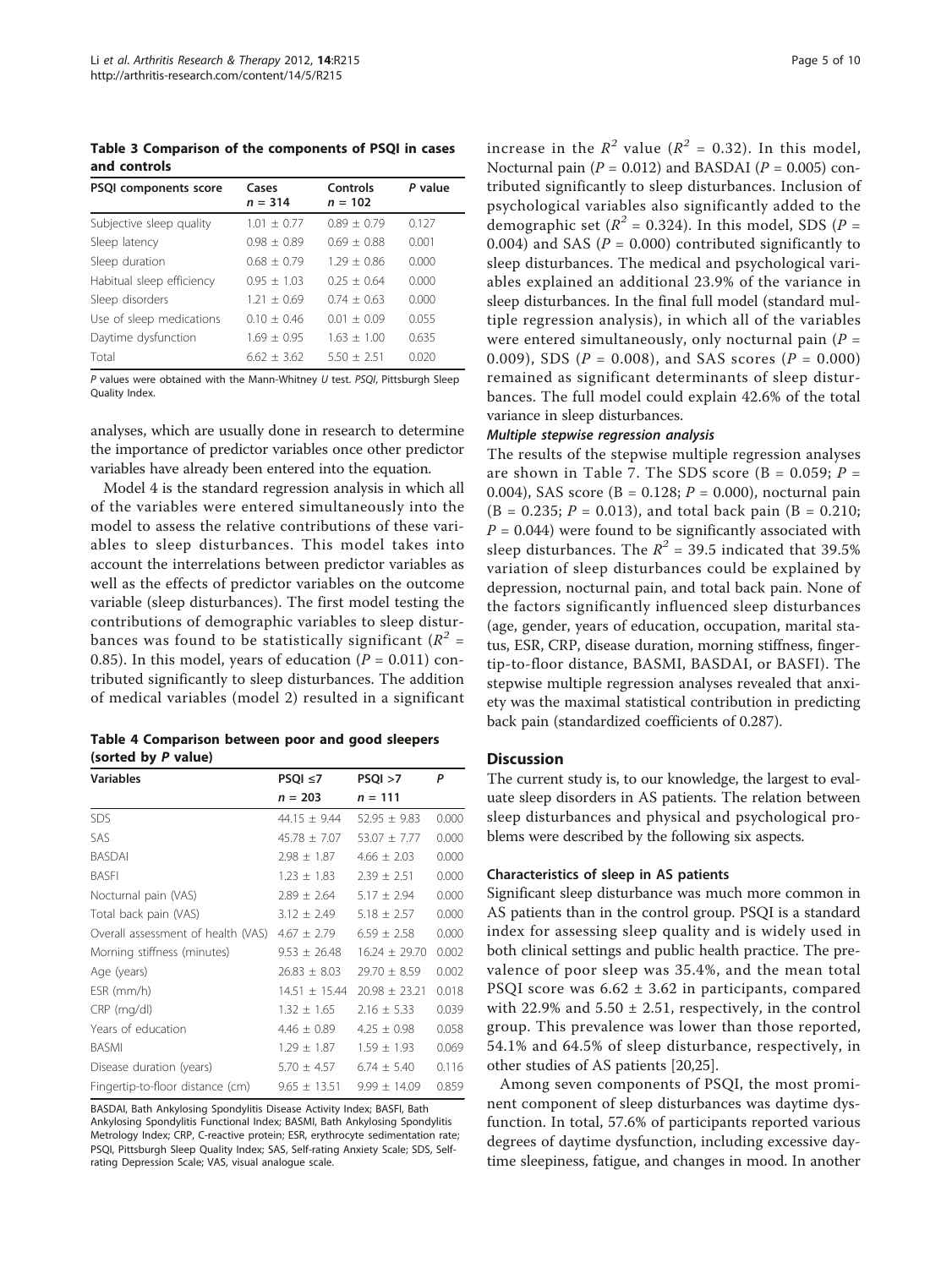<span id="page-4-0"></span>Table 3 Comparison of the components of PSQI in cases and controls

| <b>PSQI</b> components score | Cases<br>$n = 314$ | Controls<br>$n = 102$ | P value |
|------------------------------|--------------------|-----------------------|---------|
| Subjective sleep quality     | $1.01 + 0.77$      | $0.89 + 0.79$         | 0.127   |
| Sleep latency                | $0.98 + 0.89$      | $069 + 088$           | 0.001   |
| Sleep duration               | $0.68 + 0.79$      | $1.29 + 0.86$         | 0.000   |
| Habitual sleep efficiency    | $0.95 + 1.03$      | $0.25 + 0.64$         | 0.000   |
| Sleep disorders              | $1.21 + 0.69$      | $0.74 + 0.63$         | 0.000   |
| Use of sleep medications     | $010 + 046$        | $0.01 + 0.09$         | 0.055   |
| Daytime dysfunction          | $1.69 + 0.95$      | $1.63 + 1.00$         | 0.635   |
| Total                        | $6.62 + 3.62$      | $5.50 + 2.51$         | 0.020   |

P values were obtained with the Mann-Whitney  $U$  test. PSQI, Pittsburgh Sleep Quality Index.

analyses, which are usually done in research to determine the importance of predictor variables once other predictor variables have already been entered into the equation.

Model 4 is the standard regression analysis in which all of the variables were entered simultaneously into the model to assess the relative contributions of these variables to sleep disturbances. This model takes into account the interrelations between predictor variables as well as the effects of predictor variables on the outcome variable (sleep disturbances). The first model testing the contributions of demographic variables to sleep disturbances was found to be statistically significant ( $R^2$  = 0.85). In this model, years of education  $(P = 0.011)$  contributed significantly to sleep disturbances. The addition of medical variables (model 2) resulted in a significant

Table 4 Comparison between poor and good sleepers (sorted by P value)

| <b>Variables</b>                   | $PSQI \leq 7$     | PSQI > 7          | P     |  |
|------------------------------------|-------------------|-------------------|-------|--|
|                                    | $n = 203$         | $n = 111$         |       |  |
| <b>SDS</b>                         | $44.15 \pm 9.44$  | $52.95 \pm 9.83$  | 0.000 |  |
| SAS                                | $45.78 \pm 7.07$  | $53.07 \pm 7.77$  | 0.000 |  |
| <b>BASDAI</b>                      | $2.98 \pm 1.87$   | $4.66 \pm 2.03$   | 0.000 |  |
| <b>BASFI</b>                       | $1.23 \pm 1.83$   | $2.39 \pm 2.51$   | 0.000 |  |
| Nocturnal pain (VAS)               | $2.89 \pm 2.64$   | $5.17 \pm 2.94$   | 0.000 |  |
| Total back pain (VAS)              | $3.12 \pm 2.49$   | $5.18 \pm 2.57$   | 0.000 |  |
| Overall assessment of health (VAS) | $4.67 \pm 2.79$   | $6.59 \pm 2.58$   | 0.000 |  |
| Morning stiffness (minutes)        | $9.53 \pm 26.48$  | $16.24 \pm 29.70$ | 0.002 |  |
| Age (years)                        | $26.83 \pm 8.03$  | $29.70 \pm 8.59$  | 0.002 |  |
| ESR (mm/h)                         | $14.51 \pm 15.44$ | $20.98 \pm 23.21$ | 0.018 |  |
| CRP (mg/dl)                        | $1.32 \pm 1.65$   | $2.16 \pm 5.33$   | 0.039 |  |
| Years of education                 | $4.46 \pm 0.89$   | $4.25 \pm 0.98$   | 0.058 |  |
| <b>BASMI</b>                       | $1.29 \pm 1.87$   | $1.59 \pm 1.93$   | 0.069 |  |
| Disease duration (years)           | $5.70 \pm 4.57$   | $6.74 \pm 5.40$   | 0.116 |  |
| Fingertip-to-floor distance (cm)   | $9.65 \pm 13.51$  | $9.99 \pm 14.09$  | 0.859 |  |

BASDAI, Bath Ankylosing Spondylitis Disease Activity Index; BASFI, Bath Ankylosing Spondylitis Functional Index; BASMI, Bath Ankylosing Spondylitis Metrology Index; CRP, C-reactive protein; ESR, erythrocyte sedimentation rate; PSQI, Pittsburgh Sleep Quality Index; SAS, Self-rating Anxiety Scale; SDS, Selfrating Depression Scale; VAS, visual analogue scale.

increase in the  $R^2$  value ( $R^2 = 0.32$ ). In this model, Nocturnal pain ( $P = 0.012$ ) and BASDAI ( $P = 0.005$ ) contributed significantly to sleep disturbances. Inclusion of psychological variables also significantly added to the demographic set ( $R^2$  = 0.324). In this model, SDS ( $P =$ 0.004) and SAS ( $P = 0.000$ ) contributed significantly to sleep disturbances. The medical and psychological variables explained an additional 23.9% of the variance in sleep disturbances. In the final full model (standard multiple regression analysis), in which all of the variables were entered simultaneously, only nocturnal pain ( $P =$ 0.009), SDS ( $P = 0.008$ ), and SAS scores ( $P = 0.000$ ) remained as significant determinants of sleep disturbances. The full model could explain 42.6% of the total variance in sleep disturbances.

The results of the stepwise multiple regression analyses are shown in Table [7](#page-6-0). The SDS score (B =  $0.059$ ; P = 0.004), SAS score (B = 0.128;  $P = 0.000$ ), nocturnal pain  $(B = 0.235; P = 0.013)$ , and total back pain  $(B = 0.210;$  $P = 0.044$ ) were found to be significantly associated with sleep disturbances. The  $R^2$  = 39.5 indicated that 39.5% variation of sleep disturbances could be explained by depression, nocturnal pain, and total back pain. None of the factors significantly influenced sleep disturbances (age, gender, years of education, occupation, marital status, ESR, CRP, disease duration, morning stiffness, fingertip-to-floor distance, BASMI, BASDAI, or BASFI). The stepwise multiple regression analyses revealed that anxiety was the maximal statistical contribution in predicting back pain (standardized coefficients of 0.287).

#### **Discussion**

The current study is, to our knowledge, the largest to evaluate sleep disorders in AS patients. The relation between sleep disturbances and physical and psychological problems were described by the following six aspects.

#### Characteristics of sleep in AS patients

Significant sleep disturbance was much more common in AS patients than in the control group. PSQI is a standard index for assessing sleep quality and is widely used in both clinical settings and public health practice. The prevalence of poor sleep was 35.4%, and the mean total PSQI score was 6.62 ± 3.62 in participants, compared with 22.9% and  $5.50 \pm 2.51$ , respectively, in the control group. This prevalence was lower than those reported, 54.1% and 64.5% of sleep disturbance, respectively, in other studies of AS patients [[20,25\]](#page-8-0).

Among seven components of PSQI, the most prominent component of sleep disturbances was daytime dysfunction. In total, 57.6% of participants reported various degrees of daytime dysfunction, including excessive daytime sleepiness, fatigue, and changes in mood. In another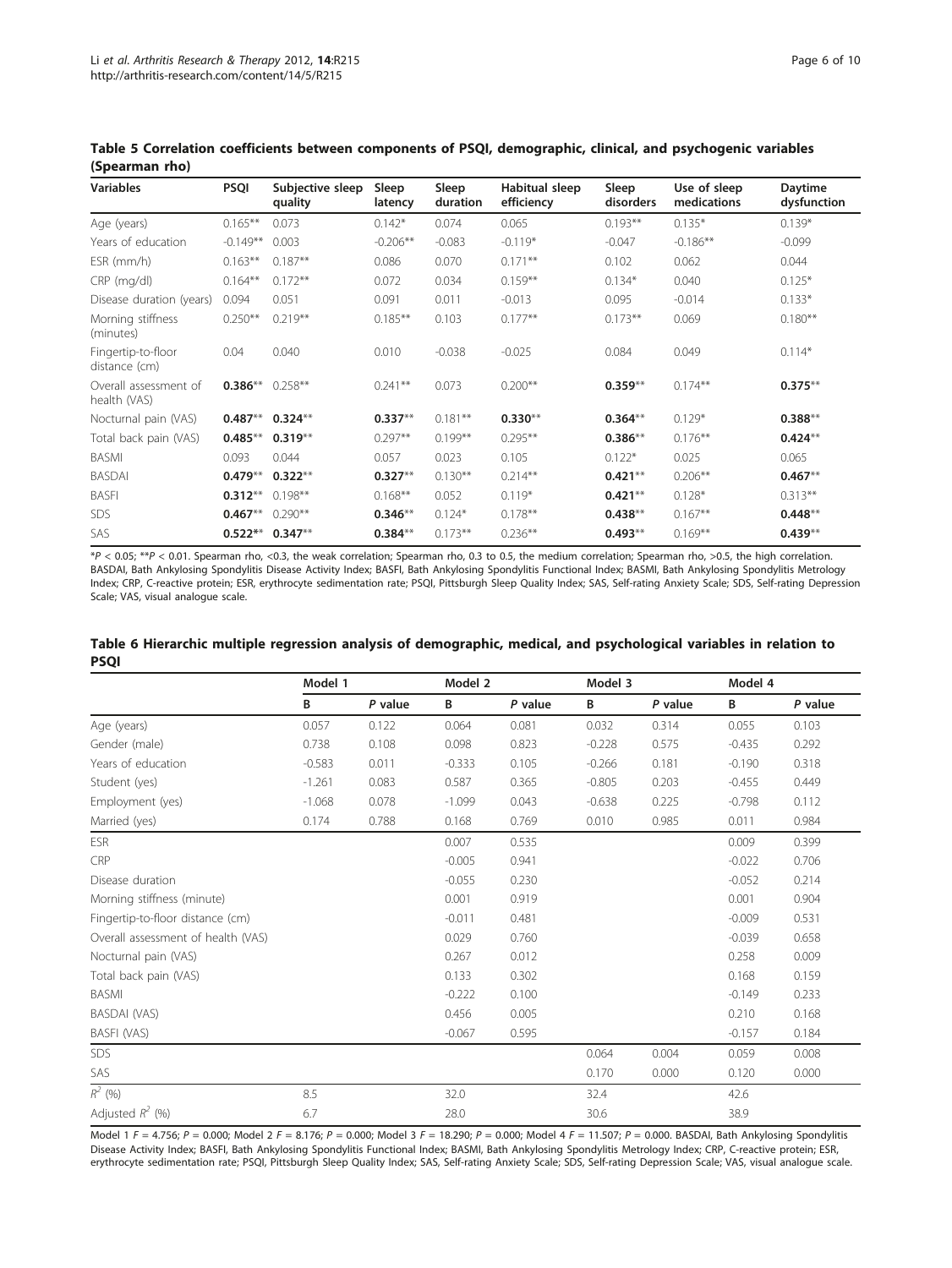| <b>Variables</b>                      | <b>PSQI</b> | Subjective sleep<br>quality | Sleep<br>latency | Sleep<br>duration | Habitual sleep<br>efficiency | Sleep<br>disorders | Use of sleep<br>medications | Daytime<br>dysfunction |
|---------------------------------------|-------------|-----------------------------|------------------|-------------------|------------------------------|--------------------|-----------------------------|------------------------|
| Age (years)                           | $0.165***$  | 0.073                       | $0.142*$         | 0.074             | 0.065                        | $0.193**$          | $0.135*$                    | $0.139*$               |
| Years of education                    | $-0.149**$  | 0.003                       | $-0.206**$       | $-0.083$          | $-0.119*$                    | $-0.047$           | $-0.186**$                  | $-0.099$               |
| ESR (mm/h)                            | $0.163**$   | $0.187**$                   | 0.086            | 0.070             | $0.171***$                   | 0.102              | 0.062                       | 0.044                  |
| CRP (mg/dl)                           | $0.164***$  | $0.172**$                   | 0.072            | 0.034             | $0.159**$                    | $0.134*$           | 0.040                       | $0.125*$               |
| Disease duration (years)              | 0.094       | 0.051                       | 0.091            | 0.011             | $-0.013$                     | 0.095              | $-0.014$                    | $0.133*$               |
| Morning stiffness<br>(minutes)        | $0.250**$   | $0.219**$                   | $0.185***$       | 0.103             | $0.177**$                    | $0.173**$          | 0.069                       | $0.180***$             |
| Fingertip-to-floor<br>distance (cm)   | 0.04        | 0.040                       | 0.010            | $-0.038$          | $-0.025$                     | 0.084              | 0.049                       | $0.114*$               |
| Overall assessment of<br>health (VAS) | $0.386**$   | $0.258**$                   | $0.241**$        | 0.073             | $0.200**$                    | $0.359***$         | $0.174**$                   | $0.375***$             |
| Nocturnal pain (VAS)                  | $0.487**$   | $0.324**$                   | $0.337**$        | $0.181***$        | $0.330**$                    | $0.364**$          | $0.129*$                    | $0.388**$              |
| Total back pain (VAS)                 | $0.485***$  | $0.319***$                  | $0.297**$        | $0.199***$        | $0.295***$                   | $0.386**$          | $0.176***$                  | $0.424**$              |
| <b>BASMI</b>                          | 0.093       | 0.044                       | 0.057            | 0.023             | 0.105                        | $0.122*$           | 0.025                       | 0.065                  |
| <b>BASDAI</b>                         | $0.479**$   | $0.322**$                   | $0.327**$        | $0.130***$        | $0.214***$                   | $0.421***$         | $0.206***$                  | $0.467**$              |
| <b>BASFI</b>                          | $0.312**$   | $0.198**$                   | $0.168**$        | 0.052             | $0.119*$                     | $0.421***$         | $0.128*$                    | $0.313***$             |
| SDS                                   | $0.467**$   | $0.290**$                   | $0.346**$        | $0.124*$          | $0.178***$                   | $0.438**$          | $0.167**$                   | $0.448**$              |
| SAS                                   | $0.522**$   | $0.347**$                   | $0.384**$        | $0.173***$        | $0.236***$                   | $0.493**$          | $0.169***$                  | $0.439**$              |

<span id="page-5-0"></span>Table 5 Correlation coefficients between components of PSQI, demographic, clinical, and psychogenic variables (Spearman rho)

\*P < 0.05; \*\*P < 0.01. Spearman rho, <0.3, the weak correlation; Spearman rho, 0.3 to 0.5, the medium correlation; Spearman rho, >0.5, the high correlation. BASDAI, Bath Ankylosing Spondylitis Disease Activity Index; BASFI, Bath Ankylosing Spondylitis Functional Index; BASMI, Bath Ankylosing Spondylitis Metrology Index; CRP, C-reactive protein; ESR, erythrocyte sedimentation rate; PSQI, Pittsburgh Sleep Quality Index; SAS, Self-rating Anxiety Scale; SDS, Self-rating Depression Scale; VAS, visual analogue scale.

|                                    | Model 1  |           |          | Model 2 |          | Model 3 |          | Model 4 |  |
|------------------------------------|----------|-----------|----------|---------|----------|---------|----------|---------|--|
|                                    | В        | $P$ value | B        | P value | B        | P value | B        | P value |  |
| Age (years)                        | 0.057    | 0.122     | 0.064    | 0.081   | 0.032    | 0.314   | 0.055    | 0.103   |  |
| Gender (male)                      | 0.738    | 0.108     | 0.098    | 0.823   | $-0.228$ | 0.575   | $-0.435$ | 0.292   |  |
| Years of education                 | $-0.583$ | 0.011     | $-0.333$ | 0.105   | $-0.266$ | 0.181   | $-0.190$ | 0.318   |  |
| Student (yes)                      | $-1.261$ | 0.083     | 0.587    | 0.365   | $-0.805$ | 0.203   | $-0.455$ | 0.449   |  |
| Employment (yes)                   | $-1.068$ | 0.078     | $-1.099$ | 0.043   | $-0.638$ | 0.225   | $-0.798$ | 0.112   |  |
| Married (yes)                      | 0.174    | 0.788     | 0.168    | 0.769   | 0.010    | 0.985   | 0.011    | 0.984   |  |
| <b>ESR</b>                         |          |           | 0.007    | 0.535   |          |         | 0.009    | 0.399   |  |
| CRP                                |          |           | $-0.005$ | 0.941   |          |         | $-0.022$ | 0.706   |  |
| Disease duration                   |          |           | $-0.055$ | 0.230   |          |         | $-0.052$ | 0.214   |  |
| Morning stiffness (minute)         |          |           | 0.001    | 0.919   |          |         | 0.001    | 0.904   |  |
| Fingertip-to-floor distance (cm)   |          |           | $-0.011$ | 0.481   |          |         | $-0.009$ | 0.531   |  |
| Overall assessment of health (VAS) |          |           | 0.029    | 0.760   |          |         | $-0.039$ | 0.658   |  |
| Nocturnal pain (VAS)               |          |           | 0.267    | 0.012   |          |         | 0.258    | 0.009   |  |
| Total back pain (VAS)              |          |           | 0.133    | 0.302   |          |         | 0.168    | 0.159   |  |
| <b>BASMI</b>                       |          |           | $-0.222$ | 0.100   |          |         | $-0.149$ | 0.233   |  |
| <b>BASDAI (VAS)</b>                |          |           | 0.456    | 0.005   |          |         | 0.210    | 0.168   |  |
| <b>BASFI (VAS)</b>                 |          |           | $-0.067$ | 0.595   |          |         | $-0.157$ | 0.184   |  |
| SDS                                |          |           |          |         | 0.064    | 0.004   | 0.059    | 0.008   |  |
| SAS                                |          |           |          |         | 0.170    | 0.000   | 0.120    | 0.000   |  |
| $R^2$ (%)                          | 8.5      |           | 32.0     |         | 32.4     |         | 42.6     |         |  |
| Adjusted $R^2$ (%)                 | 6.7      |           | 28.0     |         | 30.6     |         | 38.9     |         |  |

Table 6 Hierarchic multiple regression analysis of demographic, medical, and psychological variables in relation to PSQI

Model 1 F = 4.756; P = 0.000; Model 2 F = 8.176; P = 0.000; Model 3 F = 18.290; P = 0.000; Model 4 F = 11.507; P = 0.000. BASDAI, Bath Ankylosing Spondylitis Disease Activity Index; BASFI, Bath Ankylosing Spondylitis Functional Index; BASMI, Bath Ankylosing Spondylitis Metrology Index; CRP, C-reactive protein; ESR, erythrocyte sedimentation rate; PSQI, Pittsburgh Sleep Quality Index; SAS, Self-rating Anxiety Scale; SDS, Self-rating Depression Scale; VAS, visual analogue scale.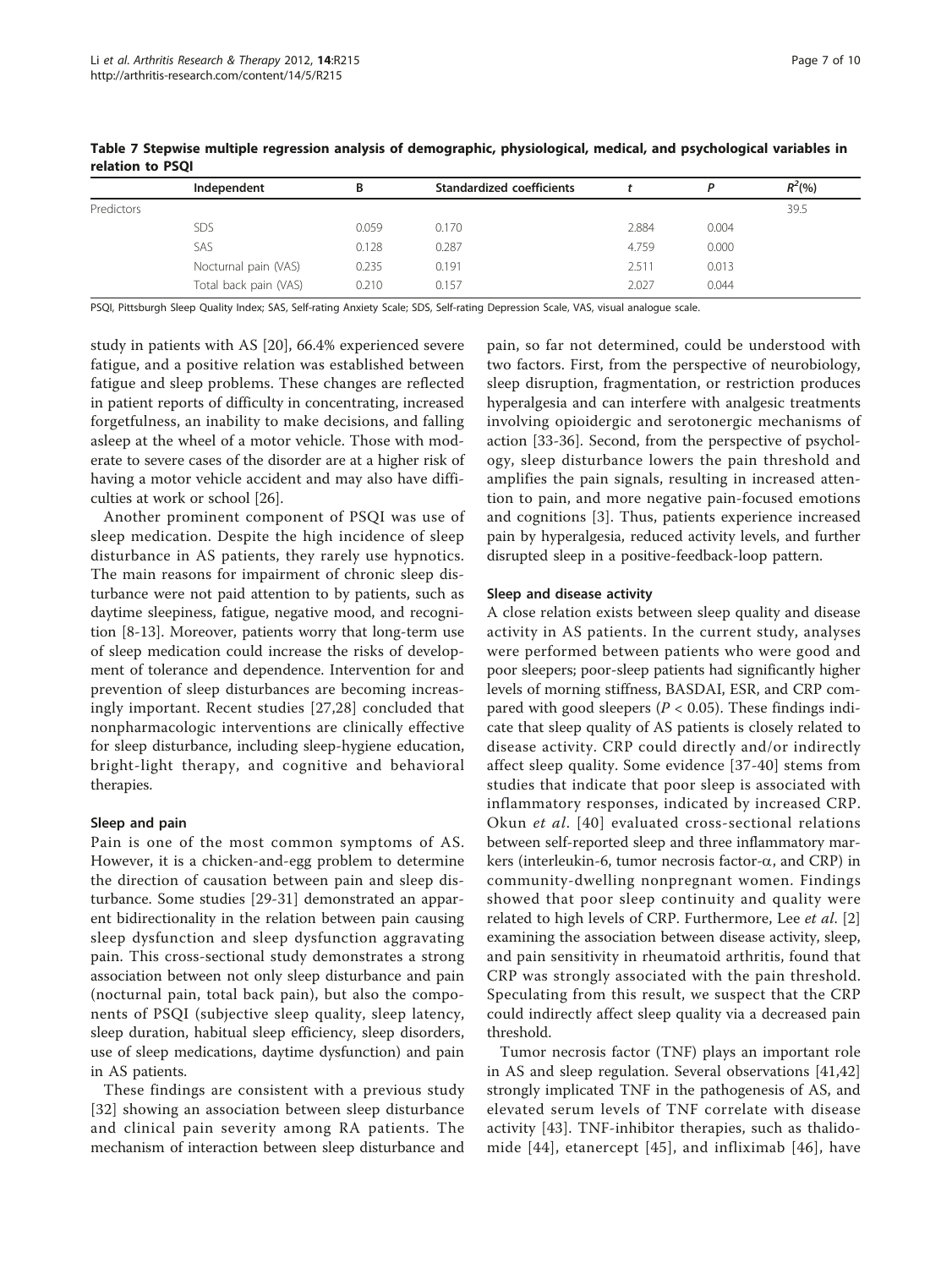| ____________ |                       |       |                           |       |       |           |
|--------------|-----------------------|-------|---------------------------|-------|-------|-----------|
|              | Independent           |       | Standardized coefficients |       |       | $R^2$ (%) |
| Predictors   |                       |       |                           |       |       | 39.5      |
|              | SDS                   | 0.059 | 0.170                     | 2.884 | 0.004 |           |
|              | SAS                   | 0.128 | 0.287                     | 4.759 | 0.000 |           |
|              | Nocturnal pain (VAS)  | 0.235 | 0.191                     | 2.511 | 0.013 |           |
|              | Total back pain (VAS) | 0.210 | 0.157                     | 2.027 | 0.044 |           |
|              |                       |       |                           |       |       |           |

<span id="page-6-0"></span>Table 7 Stepwise multiple regression analysis of demographic, physiological, medical, and psychological variables in relation to PSQI

PSQI, Pittsburgh Sleep Quality Index; SAS, Self-rating Anxiety Scale; SDS, Self-rating Depression Scale, VAS, visual analogue scale.

study in patients with AS [\[20](#page-8-0)], 66.4% experienced severe fatigue, and a positive relation was established between fatigue and sleep problems. These changes are reflected in patient reports of difficulty in concentrating, increased forgetfulness, an inability to make decisions, and falling asleep at the wheel of a motor vehicle. Those with moderate to severe cases of the disorder are at a higher risk of having a motor vehicle accident and may also have difficulties at work or school [\[26](#page-8-0)].

Another prominent component of PSQI was use of sleep medication. Despite the high incidence of sleep disturbance in AS patients, they rarely use hypnotics. The main reasons for impairment of chronic sleep disturbance were not paid attention to by patients, such as daytime sleepiness, fatigue, negative mood, and recognition [\[8](#page-8-0)-[13\]](#page-8-0). Moreover, patients worry that long-term use of sleep medication could increase the risks of development of tolerance and dependence. Intervention for and prevention of sleep disturbances are becoming increasingly important. Recent studies [[27,28](#page-8-0)] concluded that nonpharmacologic interventions are clinically effective for sleep disturbance, including sleep-hygiene education, bright-light therapy, and cognitive and behavioral therapies.

#### Sleep and pain

Pain is one of the most common symptoms of AS. However, it is a chicken-and-egg problem to determine the direction of causation between pain and sleep disturbance. Some studies [\[29](#page-8-0)-[31\]](#page-8-0) demonstrated an apparent bidirectionality in the relation between pain causing sleep dysfunction and sleep dysfunction aggravating pain. This cross-sectional study demonstrates a strong association between not only sleep disturbance and pain (nocturnal pain, total back pain), but also the components of PSQI (subjective sleep quality, sleep latency, sleep duration, habitual sleep efficiency, sleep disorders, use of sleep medications, daytime dysfunction) and pain in AS patients.

These findings are consistent with a previous study [[32](#page-8-0)] showing an association between sleep disturbance and clinical pain severity among RA patients. The mechanism of interaction between sleep disturbance and

pain, so far not determined, could be understood with two factors. First, from the perspective of neurobiology, sleep disruption, fragmentation, or restriction produces hyperalgesia and can interfere with analgesic treatments involving opioidergic and serotonergic mechanisms of action [\[33](#page-8-0)-[36\]](#page-8-0). Second, from the perspective of psychology, sleep disturbance lowers the pain threshold and amplifies the pain signals, resulting in increased attention to pain, and more negative pain-focused emotions and cognitions [[3\]](#page-8-0). Thus, patients experience increased pain by hyperalgesia, reduced activity levels, and further disrupted sleep in a positive-feedback-loop pattern.

#### Sleep and disease activity

A close relation exists between sleep quality and disease activity in AS patients. In the current study, analyses were performed between patients who were good and poor sleepers; poor-sleep patients had significantly higher levels of morning stiffness, BASDAI, ESR, and CRP compared with good sleepers ( $P < 0.05$ ). These findings indicate that sleep quality of AS patients is closely related to disease activity. CRP could directly and/or indirectly affect sleep quality. Some evidence [[37](#page-9-0)-[40](#page-9-0)] stems from studies that indicate that poor sleep is associated with inflammatory responses, indicated by increased CRP. Okun et al. [[40](#page-9-0)] evaluated cross-sectional relations between self-reported sleep and three inflammatory markers (interleukin-6, tumor necrosis factor- $\alpha$ , and CRP) in community-dwelling nonpregnant women. Findings showed that poor sleep continuity and quality were related to high levels of CRP. Furthermore, Lee et al. [\[2](#page-8-0)] examining the association between disease activity, sleep, and pain sensitivity in rheumatoid arthritis, found that CRP was strongly associated with the pain threshold. Speculating from this result, we suspect that the CRP could indirectly affect sleep quality via a decreased pain threshold.

Tumor necrosis factor (TNF) plays an important role in AS and sleep regulation. Several observations [\[41,42](#page-9-0)] strongly implicated TNF in the pathogenesis of AS, and elevated serum levels of TNF correlate with disease activity [\[43](#page-9-0)]. TNF-inhibitor therapies, such as thalidomide [[44](#page-9-0)], etanercept [[45\]](#page-9-0), and infliximab [[46](#page-9-0)], have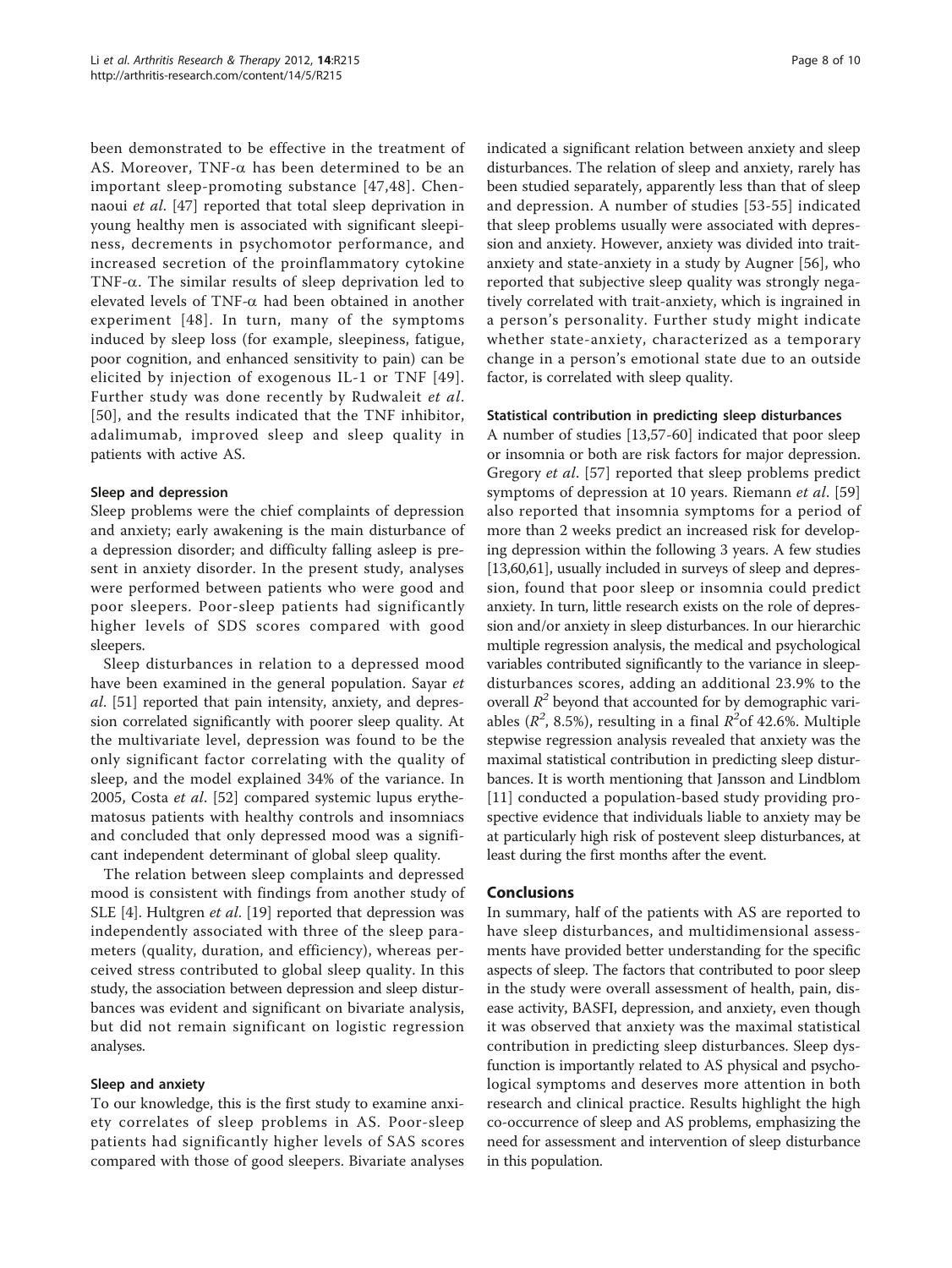been demonstrated to be effective in the treatment of AS. Moreover, TNF- $\alpha$  has been determined to be an important sleep-promoting substance [[47](#page-9-0),[48](#page-9-0)]. Chennaoui et al. [[47\]](#page-9-0) reported that total sleep deprivation in young healthy men is associated with significant sleepiness, decrements in psychomotor performance, and increased secretion of the proinflammatory cytokine TNF- $\alpha$ . The similar results of sleep deprivation led to elevated levels of TNF- $\alpha$  had been obtained in another experiment [[48](#page-9-0)]. In turn, many of the symptoms induced by sleep loss (for example, sleepiness, fatigue, poor cognition, and enhanced sensitivity to pain) can be elicited by injection of exogenous IL-1 or TNF [[49\]](#page-9-0). Further study was done recently by Rudwaleit et al. [[50](#page-9-0)], and the results indicated that the TNF inhibitor, adalimumab, improved sleep and sleep quality in patients with active AS.

#### Sleep and depression

Sleep problems were the chief complaints of depression and anxiety; early awakening is the main disturbance of a depression disorder; and difficulty falling asleep is present in anxiety disorder. In the present study, analyses were performed between patients who were good and poor sleepers. Poor-sleep patients had significantly higher levels of SDS scores compared with good sleepers.

Sleep disturbances in relation to a depressed mood have been examined in the general population. Sayar et al. [\[51](#page-9-0)] reported that pain intensity, anxiety, and depression correlated significantly with poorer sleep quality. At the multivariate level, depression was found to be the only significant factor correlating with the quality of sleep, and the model explained 34% of the variance. In 2005, Costa et al. [\[52](#page-9-0)] compared systemic lupus erythematosus patients with healthy controls and insomniacs and concluded that only depressed mood was a significant independent determinant of global sleep quality.

The relation between sleep complaints and depressed mood is consistent with findings from another study of SLE [[4\]](#page-8-0). Hultgren *et al.* [\[19](#page-8-0)] reported that depression was independently associated with three of the sleep parameters (quality, duration, and efficiency), whereas perceived stress contributed to global sleep quality. In this study, the association between depression and sleep disturbances was evident and significant on bivariate analysis, but did not remain significant on logistic regression analyses.

#### Sleep and anxiety

To our knowledge, this is the first study to examine anxiety correlates of sleep problems in AS. Poor-sleep patients had significantly higher levels of SAS scores compared with those of good sleepers. Bivariate analyses indicated a significant relation between anxiety and sleep disturbances. The relation of sleep and anxiety, rarely has been studied separately, apparently less than that of sleep and depression. A number of studies [[53](#page-9-0)-[55](#page-9-0)] indicated that sleep problems usually were associated with depression and anxiety. However, anxiety was divided into traitanxiety and state-anxiety in a study by Augner [[56\]](#page-9-0), who reported that subjective sleep quality was strongly negatively correlated with trait-anxiety, which is ingrained in a person's personality. Further study might indicate whether state-anxiety, characterized as a temporary change in a person's emotional state due to an outside factor, is correlated with sleep quality.

#### Statistical contribution in predicting sleep disturbances

A number of studies [\[13](#page-8-0)[,57](#page-9-0)-[60](#page-9-0)] indicated that poor sleep or insomnia or both are risk factors for major depression. Gregory et al. [[57\]](#page-9-0) reported that sleep problems predict symptoms of depression at 10 years. Riemann et al. [\[59](#page-9-0)] also reported that insomnia symptoms for a period of more than 2 weeks predict an increased risk for developing depression within the following 3 years. A few studies [[13](#page-8-0)[,60,61\]](#page-9-0), usually included in surveys of sleep and depression, found that poor sleep or insomnia could predict anxiety. In turn, little research exists on the role of depression and/or anxiety in sleep disturbances. In our hierarchic multiple regression analysis, the medical and psychological variables contributed significantly to the variance in sleepdisturbances scores, adding an additional 23.9% to the overall  $R^2$  beyond that accounted for by demographic variables ( $R^2$ , 8.5%), resulting in a final  $R^2$ of 42.6%. Multiple stepwise regression analysis revealed that anxiety was the maximal statistical contribution in predicting sleep disturbances. It is worth mentioning that Jansson and Lindblom [[11\]](#page-8-0) conducted a population-based study providing prospective evidence that individuals liable to anxiety may be at particularly high risk of postevent sleep disturbances, at least during the first months after the event.

#### Conclusions

In summary, half of the patients with AS are reported to have sleep disturbances, and multidimensional assessments have provided better understanding for the specific aspects of sleep. The factors that contributed to poor sleep in the study were overall assessment of health, pain, disease activity, BASFI, depression, and anxiety, even though it was observed that anxiety was the maximal statistical contribution in predicting sleep disturbances. Sleep dysfunction is importantly related to AS physical and psychological symptoms and deserves more attention in both research and clinical practice. Results highlight the high co-occurrence of sleep and AS problems, emphasizing the need for assessment and intervention of sleep disturbance in this population.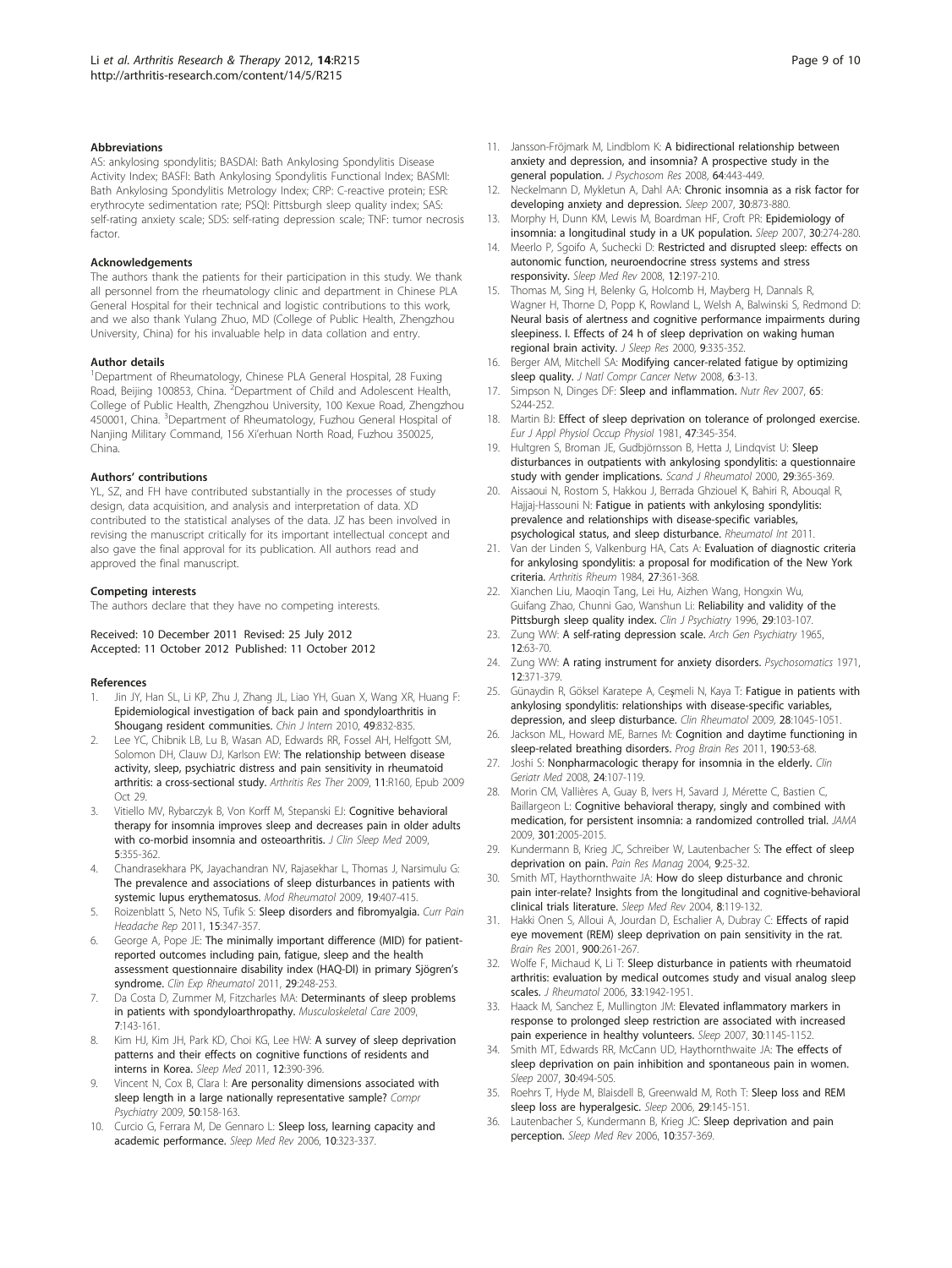#### <span id="page-8-0"></span>Abbreviations

AS: ankylosing spondylitis; BASDAI: Bath Ankylosing Spondylitis Disease Activity Index; BASFI: Bath Ankylosing Spondylitis Functional Index; BASMI: Bath Ankylosing Spondylitis Metrology Index; CRP: C-reactive protein; ESR: erythrocyte sedimentation rate; PSQI: Pittsburgh sleep quality index; SAS: self-rating anxiety scale; SDS: self-rating depression scale; TNF: tumor necrosis factor.

#### Acknowledgements

The authors thank the patients for their participation in this study. We thank all personnel from the rheumatology clinic and department in Chinese PLA General Hospital for their technical and logistic contributions to this work, and we also thank Yulang Zhuo, MD (College of Public Health, Zhengzhou University, China) for his invaluable help in data collation and entry.

#### Author details

<sup>1</sup>Department of Rheumatology, Chinese PLA General Hospital, 28 Fuxing Road, Beijing 100853, China. <sup>2</sup>Department of Child and Adolescent Health, College of Public Health, Zhengzhou University, 100 Kexue Road, Zhengzhou 450001, China. <sup>3</sup>Department of Rheumatology, Fuzhou General Hospital of Nanjing Military Command, 156 Xi'erhuan North Road, Fuzhou 350025, China.

#### Authors' contributions

YL, SZ, and FH have contributed substantially in the processes of study design, data acquisition, and analysis and interpretation of data. XD contributed to the statistical analyses of the data. JZ has been involved in revising the manuscript critically for its important intellectual concept and also gave the final approval for its publication. All authors read and approved the final manuscript.

#### Competing interests

The authors declare that they have no competing interests.

#### Received: 10 December 2011 Revised: 25 July 2012 Accepted: 11 October 2012 Published: 11 October 2012

#### References

- 1. Jin JY, Han SL, Li KP, Zhu J, Zhang JL, Liao YH, Guan X, Wang XR, Huang F: Epidemiological investigation of back pain and spondyloarthritis in Shougang resident communities. Chin J Intern 2010, 49:832-835.
- Lee YC, Chibnik LB, Lu B, Wasan AD, Edwards RR, Fossel AH, Helfgott SM, Solomon DH, Clauw DJ, Karlson EW: [The relationship between disease](http://www.ncbi.nlm.nih.gov/pubmed/19874580?dopt=Abstract) [activity, sleep, psychiatric distress and pain sensitivity in rheumatoid](http://www.ncbi.nlm.nih.gov/pubmed/19874580?dopt=Abstract) [arthritis: a cross-sectional study.](http://www.ncbi.nlm.nih.gov/pubmed/19874580?dopt=Abstract) Arthritis Res Ther 2009, 11:R160, Epub 2009 Oct 29.
- Vitiello MV, Rybarczyk B, Von Korff M, Stepanski EJ: [Cognitive behavioral](http://www.ncbi.nlm.nih.gov/pubmed/19968014?dopt=Abstract) [therapy for insomnia improves sleep and decreases pain in older adults](http://www.ncbi.nlm.nih.gov/pubmed/19968014?dopt=Abstract) [with co-morbid insomnia and osteoarthritis.](http://www.ncbi.nlm.nih.gov/pubmed/19968014?dopt=Abstract) J Clin Sleep Med 2009, 5:355-362.
- 4. Chandrasekhara PK, Jayachandran NV, Rajasekhar L, Thomas J, Narsimulu G: [The prevalence and associations of sleep disturbances in patients with](http://www.ncbi.nlm.nih.gov/pubmed/19521744?dopt=Abstract) [systemic lupus erythematosus.](http://www.ncbi.nlm.nih.gov/pubmed/19521744?dopt=Abstract) Mod Rheumatol 2009, 19:407-415.
- 5. Roizenblatt S, Neto NS, Tufik S: [Sleep disorders and fibromyalgia.](http://www.ncbi.nlm.nih.gov/pubmed/21594765?dopt=Abstract) Curr Pain Headache Rep 2011, 15:347-357.
- 6. George A, Pope JE: [The minimally important difference \(MID\) for patient](http://www.ncbi.nlm.nih.gov/pubmed/21385542?dopt=Abstract)[reported outcomes including pain, fatigue, sleep and the health](http://www.ncbi.nlm.nih.gov/pubmed/21385542?dopt=Abstract) [assessment questionnaire disability index \(HAQ-DI\) in primary Sjögren](http://www.ncbi.nlm.nih.gov/pubmed/21385542?dopt=Abstract)'s [syndrome.](http://www.ncbi.nlm.nih.gov/pubmed/21385542?dopt=Abstract) Clin Exp Rheumatol 2011, 29:248-253.
- 7. Da Costa D, Zummer M, Fitzcharles MA: [Determinants of sleep problems](http://www.ncbi.nlm.nih.gov/pubmed/19422064?dopt=Abstract) [in patients with spondyloarthropathy.](http://www.ncbi.nlm.nih.gov/pubmed/19422064?dopt=Abstract) Musculoskeletal Care 2009, 7:143-161.
- Kim HJ, Kim JH, Park KD, Choi KG, Lee HW: [A survey of sleep deprivation](http://www.ncbi.nlm.nih.gov/pubmed/21388879?dopt=Abstract) [patterns and their effects on cognitive functions of residents and](http://www.ncbi.nlm.nih.gov/pubmed/21388879?dopt=Abstract) [interns in Korea.](http://www.ncbi.nlm.nih.gov/pubmed/21388879?dopt=Abstract) Sleep Med 2011, 12:390-396.
- 9. Vincent N, Cox B, Clara I: [Are personality dimensions associated with](http://www.ncbi.nlm.nih.gov/pubmed/19216893?dopt=Abstract) [sleep length in a large nationally representative sample?](http://www.ncbi.nlm.nih.gov/pubmed/19216893?dopt=Abstract) Compr Psychiatry 2009, 50:158-163.
- 10. Curcio G, Ferrara M, De Gennaro L: [Sleep loss, learning capacity and](http://www.ncbi.nlm.nih.gov/pubmed/16564189?dopt=Abstract) [academic performance.](http://www.ncbi.nlm.nih.gov/pubmed/16564189?dopt=Abstract) Sleep Med Rev 2006, 10:323-337.
- 11. Jansson-Fröjmark M, Lindblom K: [A bidirectional relationship between](http://www.ncbi.nlm.nih.gov/pubmed/18374745?dopt=Abstract) [anxiety and depression, and insomnia? A prospective study in the](http://www.ncbi.nlm.nih.gov/pubmed/18374745?dopt=Abstract) [general population.](http://www.ncbi.nlm.nih.gov/pubmed/18374745?dopt=Abstract) J Psychosom Res 2008, 64:443-449.
- 12. Neckelmann D, Mykletun A, Dahl AA: [Chronic insomnia as a risk factor for](http://www.ncbi.nlm.nih.gov/pubmed/17682658?dopt=Abstract) [developing anxiety and depression.](http://www.ncbi.nlm.nih.gov/pubmed/17682658?dopt=Abstract) Sleep 2007, 30:873-880.
- 13. Morphy H, Dunn KM, Lewis M, Boardman HF, Croft PR: [Epidemiology of](http://www.ncbi.nlm.nih.gov/pubmed/17425223?dopt=Abstract) [insomnia: a longitudinal study in a UK population.](http://www.ncbi.nlm.nih.gov/pubmed/17425223?dopt=Abstract) Sleep 2007, 30:274-280.
- 14. Meerlo P, Sgoifo A, Suchecki D: [Restricted and disrupted sleep: effects on](http://www.ncbi.nlm.nih.gov/pubmed/18222099?dopt=Abstract) [autonomic function, neuroendocrine stress systems and stress](http://www.ncbi.nlm.nih.gov/pubmed/18222099?dopt=Abstract) [responsivity.](http://www.ncbi.nlm.nih.gov/pubmed/18222099?dopt=Abstract) Sleep Med Rev 2008, 12:197-210.
- 15. Thomas M, Sing H, Belenky G, Holcomb H, Mayberg H, Dannals R, Wagner H, Thorne D, Popp K, Rowland L, Welsh A, Balwinski S, Redmond D: [Neural basis of alertness and cognitive performance impairments during](http://www.ncbi.nlm.nih.gov/pubmed/11123521?dopt=Abstract) [sleepiness. I. Effects of 24 h of sleep deprivation on waking human](http://www.ncbi.nlm.nih.gov/pubmed/11123521?dopt=Abstract) [regional brain activity.](http://www.ncbi.nlm.nih.gov/pubmed/11123521?dopt=Abstract) J Sleep Res 2000, 9:335-352.
- 16. Berger AM, Mitchell SA: Modifying cancer-related fatigue by optimizing sleep quality. J Natl Compr Cancer Netw 2008, 6:3-13.
- 17. Simpson N, Dinges DF: [Sleep and inflammation.](http://www.ncbi.nlm.nih.gov/pubmed/18240557?dopt=Abstract) Nutr Rev 2007, 65: S244-252.
- 18. Martin BJ: [Effect of sleep deprivation on tolerance of prolonged exercise.](http://www.ncbi.nlm.nih.gov/pubmed/7199438?dopt=Abstract) Eur J Appl Physiol Occup Physiol 1981, 47:345-354.
- 19. Hultgren S, Broman JE, Gudbjörnsson B, Hetta J, Lindqvist U: [Sleep](http://www.ncbi.nlm.nih.gov/pubmed/11132205?dopt=Abstract) [disturbances in outpatients with ankylosing spondylitis: a questionnaire](http://www.ncbi.nlm.nih.gov/pubmed/11132205?dopt=Abstract) [study with gender implications.](http://www.ncbi.nlm.nih.gov/pubmed/11132205?dopt=Abstract) Scand J Rheumatol 2000, 29:365-369.
- 20. Aissaoui N, Rostom S, Hakkou J, Berrada Ghziouel K, Bahiri R, Abouqal R, Hajjaj-Hassouni N: Fatigue in patients with ankylosing spondylitis: prevalence and relationships with disease-specific variables, psychological status, and sleep disturbance. Rheumatol Int 2011.
- 21. Van der Linden S, Valkenburg HA, Cats A: [Evaluation of diagnostic criteria](http://www.ncbi.nlm.nih.gov/pubmed/6231933?dopt=Abstract) [for ankylosing spondylitis: a proposal for modification of the New York](http://www.ncbi.nlm.nih.gov/pubmed/6231933?dopt=Abstract) [criteria.](http://www.ncbi.nlm.nih.gov/pubmed/6231933?dopt=Abstract) Arthritis Rheum 1984, 27:361-368.
- 22. Xianchen Liu, Maoqin Tang, Lei Hu, Aizhen Wang, Hongxin Wu, Guifang Zhao, Chunni Gao, Wanshun Li: Reliability and validity of the Pittsburgh sleep quality index. Clin J Psychiatry 1996, 29:103-107.
- 23. Zung WW: [A self-rating depression scale.](http://www.ncbi.nlm.nih.gov/pubmed/14221692?dopt=Abstract) Arch Gen Psychiatry 1965, 12:63-70.
- 24. Zung WW: [A rating instrument for anxiety disorders.](http://www.ncbi.nlm.nih.gov/pubmed/5172928?dopt=Abstract) Psychosomatics 1971, 12:371-379.
- 25. Günaydin R, Göksel Karatepe A, Ceşmeli N, Kaya T: [Fatigue in patients with](http://www.ncbi.nlm.nih.gov/pubmed/19504231?dopt=Abstract) [ankylosing spondylitis: relationships with disease-specific variables,](http://www.ncbi.nlm.nih.gov/pubmed/19504231?dopt=Abstract) [depression, and sleep disturbance.](http://www.ncbi.nlm.nih.gov/pubmed/19504231?dopt=Abstract) Clin Rheumatol 2009, 28:1045-1051.
- 26. Jackson ML, Howard ME, Barnes M: [Cognition and daytime functioning in](http://www.ncbi.nlm.nih.gov/pubmed/21531244?dopt=Abstract) [sleep-related breathing disorders.](http://www.ncbi.nlm.nih.gov/pubmed/21531244?dopt=Abstract) Prog Brain Res 2011, 190:53-68.
- 27. Joshi S: [Nonpharmacologic therapy for insomnia in the elderly.](http://www.ncbi.nlm.nih.gov/pubmed/18035235?dopt=Abstract) Clin Geriatr Med 2008, 24:107-119.
- 28. Morin CM, Vallières A, Guay B, Ivers H, Savard J, Mérette C, Bastien C, Baillargeon L: [Cognitive behavioral therapy, singly and combined with](http://www.ncbi.nlm.nih.gov/pubmed/19454639?dopt=Abstract) [medication, for persistent insomnia: a randomized controlled trial.](http://www.ncbi.nlm.nih.gov/pubmed/19454639?dopt=Abstract) JAMA 2009, 301:2005-2015.
- 29. Kundermann B, Krieg JC, Schreiber W, Lautenbacher S: The [effect of sleep](http://www.ncbi.nlm.nih.gov/pubmed/15007400?dopt=Abstract) [deprivation on pain.](http://www.ncbi.nlm.nih.gov/pubmed/15007400?dopt=Abstract) Pain Res Manag 2004, 9:25-32.
- 30. Smith MT, Haythornthwaite JA: [How do sleep disturbance and chronic](http://www.ncbi.nlm.nih.gov/pubmed/15033151?dopt=Abstract) [pain inter-relate? Insights from the longitudinal and cognitive-behavioral](http://www.ncbi.nlm.nih.gov/pubmed/15033151?dopt=Abstract) [clinical trials literature.](http://www.ncbi.nlm.nih.gov/pubmed/15033151?dopt=Abstract) Sleep Med Rev 2004, 8:119-132.
- 31. Hakki Onen S, Alloui A, Jourdan D, Eschalier A, Dubray C: [Effects of rapid](http://www.ncbi.nlm.nih.gov/pubmed/11334806?dopt=Abstract) [eye movement \(REM\) sleep deprivation on pain sensitivity in the rat.](http://www.ncbi.nlm.nih.gov/pubmed/11334806?dopt=Abstract) Brain Res 2001, 900:261-267.
- 32. Wolfe F, Michaud K, Li T: [Sleep disturbance in patients with rheumatoid](http://www.ncbi.nlm.nih.gov/pubmed/16960928?dopt=Abstract) [arthritis: evaluation by medical outcomes study and visual analog sleep](http://www.ncbi.nlm.nih.gov/pubmed/16960928?dopt=Abstract) [scales.](http://www.ncbi.nlm.nih.gov/pubmed/16960928?dopt=Abstract) J Rheumatol 2006, 33:1942-1951.
- 33. Haack M, Sanchez E, Mullington JM: [Elevated inflammatory markers in](http://www.ncbi.nlm.nih.gov/pubmed/17910386?dopt=Abstract) [response to prolonged sleep restriction are associated with increased](http://www.ncbi.nlm.nih.gov/pubmed/17910386?dopt=Abstract) [pain experience in healthy volunteers.](http://www.ncbi.nlm.nih.gov/pubmed/17910386?dopt=Abstract) Sleep 2007, 30:1145-1152.
- 34. Smith MT, Edwards RR, McCann UD, Haythornthwaite JA: [The effects of](http://www.ncbi.nlm.nih.gov/pubmed/17520794?dopt=Abstract) [sleep deprivation on pain inhibition and spontaneous pain in women.](http://www.ncbi.nlm.nih.gov/pubmed/17520794?dopt=Abstract) Sleep 2007, 30:494-505.
- 35. Roehrs T, Hyde M, Blaisdell B, Greenwald M, Roth T: [Sleep loss and REM](http://www.ncbi.nlm.nih.gov/pubmed/16494081?dopt=Abstract) [sleep loss are hyperalgesic.](http://www.ncbi.nlm.nih.gov/pubmed/16494081?dopt=Abstract) Sleep 2006, 29:145-151.
- 36. Lautenbacher S, Kundermann B, Krieg JC: [Sleep deprivation and pain](http://www.ncbi.nlm.nih.gov/pubmed/16386930?dopt=Abstract) [perception.](http://www.ncbi.nlm.nih.gov/pubmed/16386930?dopt=Abstract) Sleep Med Rev 2006, 10:357-369.